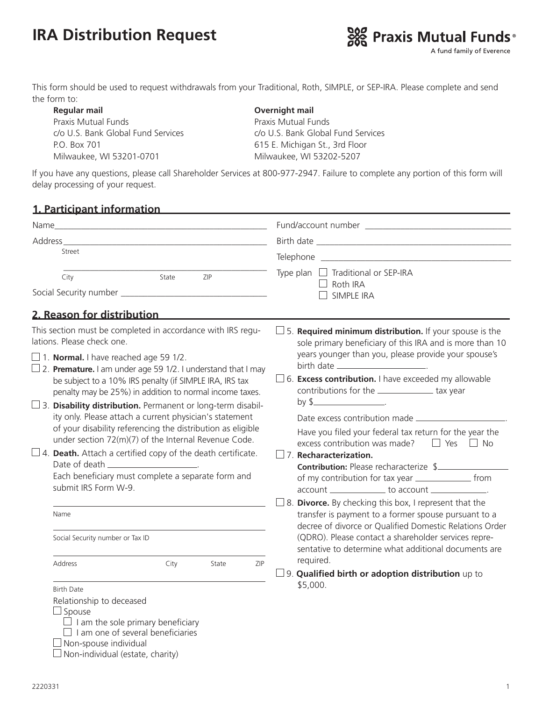# **IRA Distribution Request**



This form should be used to request withdrawals from your Traditional, Roth, SIMPLE, or SEP-IRA. Please complete and send the form to:

 **Regular mail Overnight mail** Praxis Mutual Funds<br>
Praxis Mutual Funds P.O. Box 701 615 E. Michigan St., 3rd Floor Milwaukee, WI 53201-0701 Milwaukee, WI 53202-5207

c/o U.S. Bank Global Fund Services c/o U.S. Bank Global Fund Services

If you have any questions, please call Shareholder Services at 800-977-2947. Failure to complete any portion of this form will delay processing of your request.

#### **1. Participant information**

| Address_                                                                                                                                                                                                                                                                                                                                                                                                                                                                                                                                                                                                                                                                                                                                                                                                                                                                                  |                                                                                                                                                                                                                                                                                                                                                                                                                                                                                                                                                                                                                                                                                                                                                                                                                                                                                                                                                                                                                                                                                                                                   |
|-------------------------------------------------------------------------------------------------------------------------------------------------------------------------------------------------------------------------------------------------------------------------------------------------------------------------------------------------------------------------------------------------------------------------------------------------------------------------------------------------------------------------------------------------------------------------------------------------------------------------------------------------------------------------------------------------------------------------------------------------------------------------------------------------------------------------------------------------------------------------------------------|-----------------------------------------------------------------------------------------------------------------------------------------------------------------------------------------------------------------------------------------------------------------------------------------------------------------------------------------------------------------------------------------------------------------------------------------------------------------------------------------------------------------------------------------------------------------------------------------------------------------------------------------------------------------------------------------------------------------------------------------------------------------------------------------------------------------------------------------------------------------------------------------------------------------------------------------------------------------------------------------------------------------------------------------------------------------------------------------------------------------------------------|
| Street                                                                                                                                                                                                                                                                                                                                                                                                                                                                                                                                                                                                                                                                                                                                                                                                                                                                                    |                                                                                                                                                                                                                                                                                                                                                                                                                                                                                                                                                                                                                                                                                                                                                                                                                                                                                                                                                                                                                                                                                                                                   |
| State<br>ZIP<br>City                                                                                                                                                                                                                                                                                                                                                                                                                                                                                                                                                                                                                                                                                                                                                                                                                                                                      | Type plan $\Box$ Traditional or SEP-IRA<br>$\Box$ Roth IRA<br><b>SIMPLE IRA</b>                                                                                                                                                                                                                                                                                                                                                                                                                                                                                                                                                                                                                                                                                                                                                                                                                                                                                                                                                                                                                                                   |
| 2. Reason for distribution                                                                                                                                                                                                                                                                                                                                                                                                                                                                                                                                                                                                                                                                                                                                                                                                                                                                |                                                                                                                                                                                                                                                                                                                                                                                                                                                                                                                                                                                                                                                                                                                                                                                                                                                                                                                                                                                                                                                                                                                                   |
| This section must be completed in accordance with IRS regu-<br>lations. Please check one.<br>$\Box$ 1. <b>Normal.</b> I have reached age 59 1/2.<br>$\Box$ 2. <b>Premature.</b> I am under age 59 1/2. I understand that I may<br>be subject to a 10% IRS penalty (if SIMPLE IRA, IRS tax<br>penalty may be 25%) in addition to normal income taxes.<br>$\Box$ 3. Disability distribution. Permanent or long-term disabil-<br>ity only. Please attach a current physician's statement<br>of your disability referencing the distribution as eligible<br>under section 72(m)(7) of the Internal Revenue Code.<br>$\Box$ 4. Death. Attach a certified copy of the death certificate.<br>Each beneficiary must complete a separate form and<br>submit IRS Form W-9.<br>Name<br>Social Security number or Tax ID<br>Address<br>City<br>State<br><b>Birth Date</b><br>Relationship to deceased | $\Box$ 5. <b>Required minimum distribution.</b> If your spouse is the<br>sole primary beneficiary of this IRA and is more than 10<br>years younger than you, please provide your spouse's<br>birth date ____________________________.<br>$\Box$ 6. <b>Excess contribution.</b> I have exceeded my allowable<br>contributions for the _________________ tax year<br>by $\frac{1}{2}$ .<br>Have you filed your federal tax return for the year the<br>excess contribution was made? $\square$ Yes $\square$ No<br>$\square$ 7. Recharacterization.<br><b>Contribution:</b> Please recharacterize \$<br>of my contribution for tax year ______________________ from<br>account ______________ to account _____________.<br>$\square$ 8. <b>Divorce.</b> By checking this box, I represent that the<br>transfer is payment to a former spouse pursuant to a<br>decree of divorce or Qualified Domestic Relations Order<br>(QDRO). Please contact a shareholder services repre-<br>sentative to determine what additional documents are<br>required.<br>ZIP<br>$\square$ 9. Qualified birth or adoption distribution up to<br>\$5,000. |
| $\Box$ Spouse<br>$\Box$ I am the sole primary beneficiary<br>$\Box$ I am one of several beneficiaries<br>Non-spouse individual                                                                                                                                                                                                                                                                                                                                                                                                                                                                                                                                                                                                                                                                                                                                                            |                                                                                                                                                                                                                                                                                                                                                                                                                                                                                                                                                                                                                                                                                                                                                                                                                                                                                                                                                                                                                                                                                                                                   |

 $\Box$  Non-individual (estate, charity)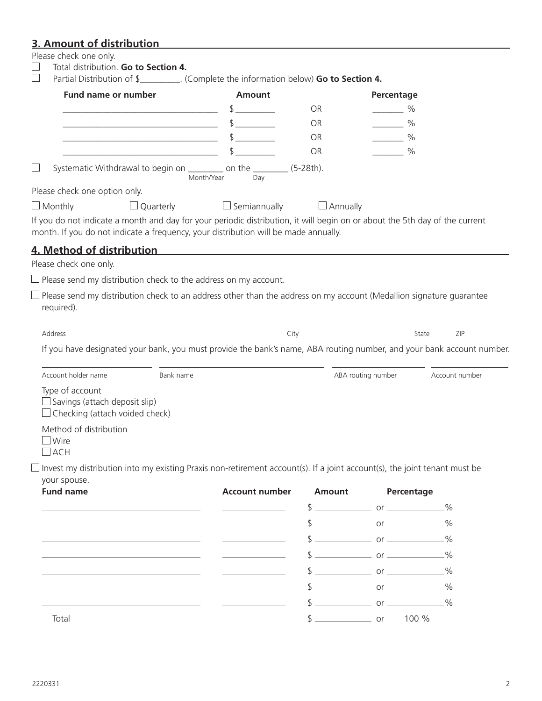# **3. Amount of distribution**

| <b>Fund name or number</b>                                                                                                                                                                                                                                                                                                                                                                          | <b>Amount</b>         | Partial Distribution of \$__________. (Complete the information below) <b>Go to Section 4.</b> |                                                                            | Percentage     |  |
|-----------------------------------------------------------------------------------------------------------------------------------------------------------------------------------------------------------------------------------------------------------------------------------------------------------------------------------------------------------------------------------------------------|-----------------------|------------------------------------------------------------------------------------------------|----------------------------------------------------------------------------|----------------|--|
|                                                                                                                                                                                                                                                                                                                                                                                                     | $\frac{1}{2}$         | <b>OR</b>                                                                                      | $\%$                                                                       |                |  |
|                                                                                                                                                                                                                                                                                                                                                                                                     | $\frac{1}{2}$         | OR.                                                                                            | $\frac{0}{0}$<br>$\mathcal{L}^{\text{max}}$ and $\mathcal{L}^{\text{max}}$ |                |  |
| <u> 2000 - Jan James James James James James James James James James James James James James James James James Ja</u>                                                                                                                                                                                                                                                                               | $\frac{1}{2}$         | OR.                                                                                            | $\frac{0}{0}$<br>$\overline{\phantom{a}}$                                  |                |  |
|                                                                                                                                                                                                                                                                                                                                                                                                     |                       | <b>OR</b>                                                                                      | $\sim$ %                                                                   |                |  |
| Systematic Withdrawal to begin on __________ on the _________ (5-28th).                                                                                                                                                                                                                                                                                                                             | Month/Year<br>Day     |                                                                                                |                                                                            |                |  |
| Please check one option only.                                                                                                                                                                                                                                                                                                                                                                       |                       |                                                                                                |                                                                            |                |  |
| $\Box$ Monthly<br>$\Box$ Quarterly                                                                                                                                                                                                                                                                                                                                                                  | $\Box$ Semiannually   | $\Box$ Annually                                                                                |                                                                            |                |  |
| <u>4. Method of distribution </u><br>Please check one only.<br>$\Box$ Please send my distribution check to the address on my account.<br>Please send my distribution check to an address other than the address on my account (Medallion signature guarantee                                                                                                                                        |                       |                                                                                                |                                                                            |                |  |
| required).                                                                                                                                                                                                                                                                                                                                                                                          |                       |                                                                                                |                                                                            |                |  |
| Address                                                                                                                                                                                                                                                                                                                                                                                             |                       | City                                                                                           |                                                                            | ZIP<br>State   |  |
|                                                                                                                                                                                                                                                                                                                                                                                                     |                       |                                                                                                |                                                                            |                |  |
| Bank name<br>$\Box$ Savings (attach deposit slip)                                                                                                                                                                                                                                                                                                                                                   |                       |                                                                                                | ABA routing number                                                         | Account number |  |
| $\Box$ Wire<br>$\Box$ ACH                                                                                                                                                                                                                                                                                                                                                                           |                       |                                                                                                |                                                                            |                |  |
|                                                                                                                                                                                                                                                                                                                                                                                                     |                       |                                                                                                |                                                                            |                |  |
|                                                                                                                                                                                                                                                                                                                                                                                                     | <b>Account number</b> | <b>Amount</b>                                                                                  | Percentage                                                                 |                |  |
|                                                                                                                                                                                                                                                                                                                                                                                                     |                       |                                                                                                |                                                                            |                |  |
|                                                                                                                                                                                                                                                                                                                                                                                                     |                       |                                                                                                | $\frac{1}{2}$ or <u>example</u> or <u>example</u> $\frac{1}{2}$            |                |  |
|                                                                                                                                                                                                                                                                                                                                                                                                     |                       |                                                                                                |                                                                            |                |  |
|                                                                                                                                                                                                                                                                                                                                                                                                     |                       |                                                                                                |                                                                            |                |  |
|                                                                                                                                                                                                                                                                                                                                                                                                     |                       |                                                                                                |                                                                            |                |  |
| If you have designated your bank, you must provide the bank's name, ABA routing number, and your bank account number.<br>Account holder name<br>Type of account<br>$\Box$ Checking (attach voided check)<br>Method of distribution<br>Invest my distribution into my existing Praxis non-retirement account(s). If a joint account(s), the joint tenant must be<br>your spouse.<br><b>Fund name</b> |                       |                                                                                                |                                                                            |                |  |